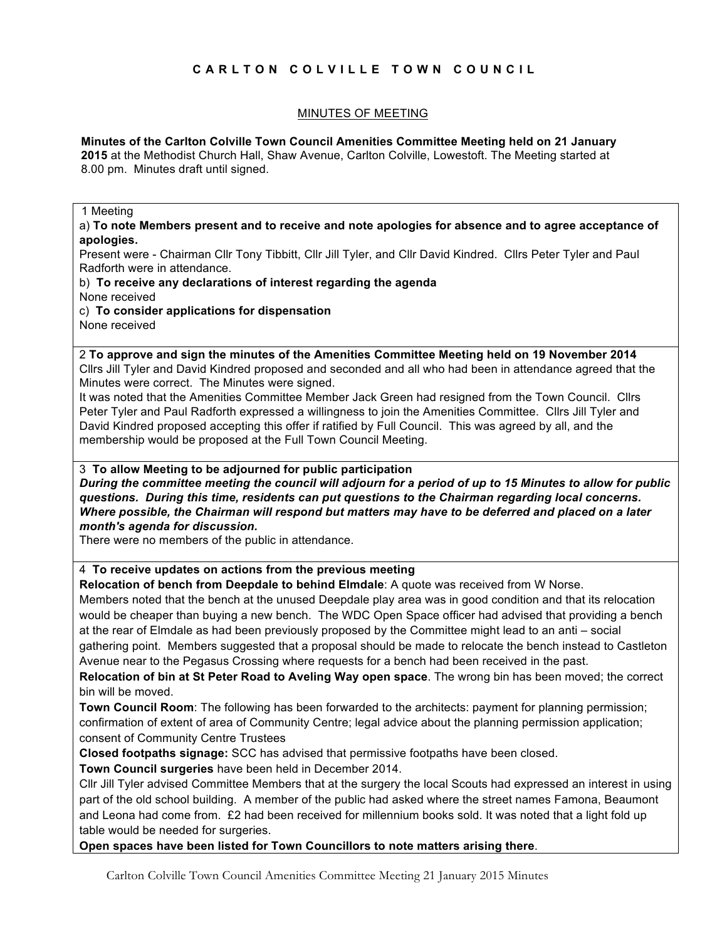# **CARLTON COLVILLE TOWN COUNCIL**

## MINUTES OF MEETING

## **Minutes of the Carlton Colville Town Council Amenities Committee Meeting held on 21 January**

**2015** at the Methodist Church Hall, Shaw Avenue, Carlton Colville, Lowestoft. The Meeting started at 8.00 pm. Minutes draft until signed.

1 Meeting

a) **To note Members present and to receive and note apologies for absence and to agree acceptance of apologies.**

Present were - Chairman Cllr Tony Tibbitt, Cllr Jill Tyler, and Cllr David Kindred. Cllrs Peter Tyler and Paul Radforth were in attendance.

b) **To receive any declarations of interest regarding the agenda**

None received

c) **To consider applications for dispensation**

None received

2 **To approve and sign the minutes of the Amenities Committee Meeting held on 19 November 2014** Cllrs Jill Tyler and David Kindred proposed and seconded and all who had been in attendance agreed that the Minutes were correct. The Minutes were signed.

It was noted that the Amenities Committee Member Jack Green had resigned from the Town Council. Cllrs Peter Tyler and Paul Radforth expressed a willingness to join the Amenities Committee. Cllrs Jill Tyler and David Kindred proposed accepting this offer if ratified by Full Council. This was agreed by all, and the membership would be proposed at the Full Town Council Meeting.

3 **To allow Meeting to be adjourned for public participation**

*During the committee meeting the council will adjourn for a period of up to 15 Minutes to allow for public questions. During this time, residents can put questions to the Chairman regarding local concerns. Where possible, the Chairman will respond but matters may have to be deferred and placed on a later month's agenda for discussion.*

There were no members of the public in attendance.

#### 4 **To receive updates on actions from the previous meeting**

**Relocation of bench from Deepdale to behind Elmdale**: A quote was received from W Norse.

Members noted that the bench at the unused Deepdale play area was in good condition and that its relocation would be cheaper than buying a new bench. The WDC Open Space officer had advised that providing a bench at the rear of Elmdale as had been previously proposed by the Committee might lead to an anti – social gathering point. Members suggested that a proposal should be made to relocate the bench instead to Castleton Avenue near to the Pegasus Crossing where requests for a bench had been received in the past.

**Relocation of bin at St Peter Road to Aveling Way open space**. The wrong bin has been moved; the correct bin will be moved.

**Town Council Room**: The following has been forwarded to the architects: payment for planning permission; confirmation of extent of area of Community Centre; legal advice about the planning permission application; consent of Community Centre Trustees

**Closed footpaths signage:** SCC has advised that permissive footpaths have been closed.

**Town Council surgeries** have been held in December 2014.

Cllr Jill Tyler advised Committee Members that at the surgery the local Scouts had expressed an interest in using part of the old school building. A member of the public had asked where the street names Famona, Beaumont and Leona had come from. £2 had been received for millennium books sold. It was noted that a light fold up table would be needed for surgeries.

**Open spaces have been listed for Town Councillors to note matters arising there**.

Carlton Colville Town Council Amenities Committee Meeting 21 January 2015 Minutes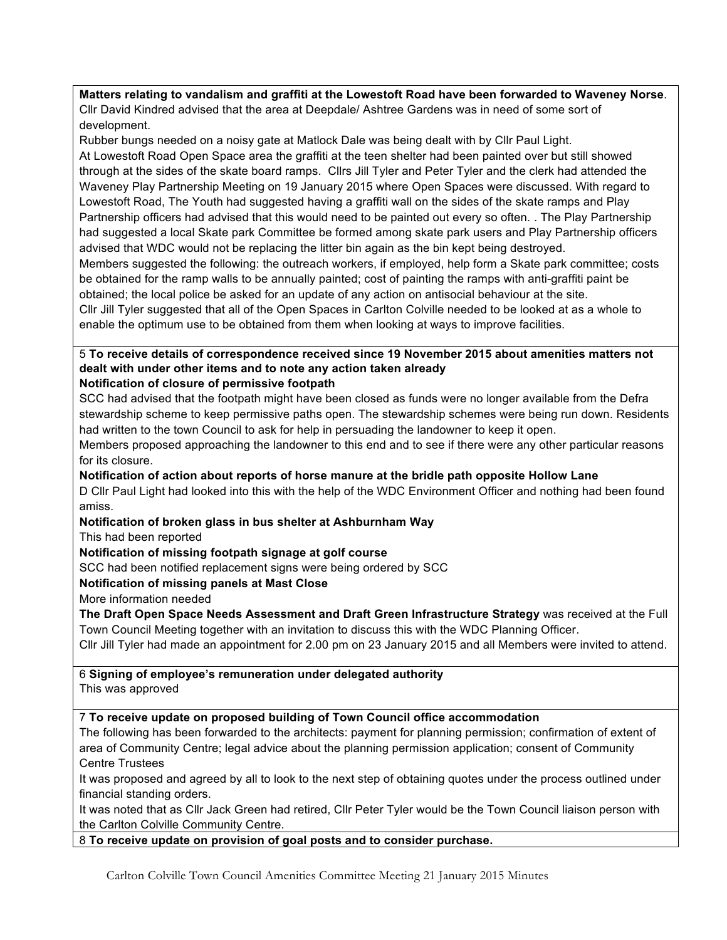**Matters relating to vandalism and graffiti at the Lowestoft Road have been forwarded to Waveney Norse**. Cllr David Kindred advised that the area at Deepdale/ Ashtree Gardens was in need of some sort of development.

Rubber bungs needed on a noisy gate at Matlock Dale was being dealt with by Cllr Paul Light. At Lowestoft Road Open Space area the graffiti at the teen shelter had been painted over but still showed through at the sides of the skate board ramps. Cllrs Jill Tyler and Peter Tyler and the clerk had attended the Waveney Play Partnership Meeting on 19 January 2015 where Open Spaces were discussed. With regard to Lowestoft Road, The Youth had suggested having a graffiti wall on the sides of the skate ramps and Play Partnership officers had advised that this would need to be painted out every so often. . The Play Partnership had suggested a local Skate park Committee be formed among skate park users and Play Partnership officers advised that WDC would not be replacing the litter bin again as the bin kept being destroyed.

Members suggested the following: the outreach workers, if employed, help form a Skate park committee; costs be obtained for the ramp walls to be annually painted; cost of painting the ramps with anti-graffiti paint be obtained; the local police be asked for an update of any action on antisocial behaviour at the site.

Cllr Jill Tyler suggested that all of the Open Spaces in Carlton Colville needed to be looked at as a whole to enable the optimum use to be obtained from them when looking at ways to improve facilities.

#### 5 **To receive details of correspondence received since 19 November 2015 about amenities matters not dealt with under other items and to note any action taken already Notification of closure of permissive footpath**

SCC had advised that the footpath might have been closed as funds were no longer available from the Defra stewardship scheme to keep permissive paths open. The stewardship schemes were being run down. Residents had written to the town Council to ask for help in persuading the landowner to keep it open.

Members proposed approaching the landowner to this end and to see if there were any other particular reasons for its closure.

**Notification of action about reports of horse manure at the bridle path opposite Hollow Lane**

D Cllr Paul Light had looked into this with the help of the WDC Environment Officer and nothing had been found amiss.

**Notification of broken glass in bus shelter at Ashburnham Way**

This had been reported

**Notification of missing footpath signage at golf course**

SCC had been notified replacement signs were being ordered by SCC

# **Notification of missing panels at Mast Close**

More information needed

**The Draft Open Space Needs Assessment and Draft Green Infrastructure Strategy** was received at the Full Town Council Meeting together with an invitation to discuss this with the WDC Planning Officer.

Cllr Jill Tyler had made an appointment for 2.00 pm on 23 January 2015 and all Members were invited to attend.

6 **Signing of employee's remuneration under delegated authority**

This was approved

# 7 **To receive update on proposed building of Town Council office accommodation**

The following has been forwarded to the architects: payment for planning permission; confirmation of extent of area of Community Centre; legal advice about the planning permission application; consent of Community Centre Trustees

It was proposed and agreed by all to look to the next step of obtaining quotes under the process outlined under financial standing orders.

It was noted that as Cllr Jack Green had retired, Cllr Peter Tyler would be the Town Council liaison person with the Carlton Colville Community Centre.

8 **To receive update on provision of goal posts and to consider purchase.**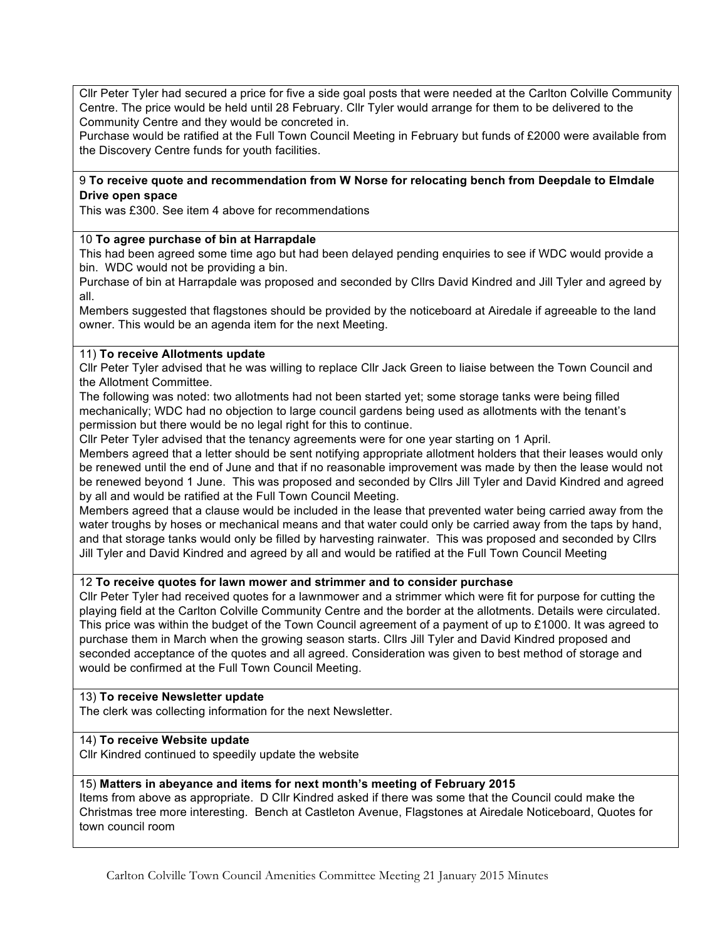Cllr Peter Tyler had secured a price for five a side goal posts that were needed at the Carlton Colville Community Centre. The price would be held until 28 February. Cllr Tyler would arrange for them to be delivered to the Community Centre and they would be concreted in.

Purchase would be ratified at the Full Town Council Meeting in February but funds of £2000 were available from the Discovery Centre funds for youth facilities.

#### 9 **To receive quote and recommendation from W Norse for relocating bench from Deepdale to Elmdale Drive open space**

This was £300. See item 4 above for recommendations

#### 10 **To agree purchase of bin at Harrapdale**

This had been agreed some time ago but had been delayed pending enquiries to see if WDC would provide a bin. WDC would not be providing a bin.

Purchase of bin at Harrapdale was proposed and seconded by Cllrs David Kindred and Jill Tyler and agreed by all.

Members suggested that flagstones should be provided by the noticeboard at Airedale if agreeable to the land owner. This would be an agenda item for the next Meeting.

#### 11) **To receive Allotments update**

Cllr Peter Tyler advised that he was willing to replace Cllr Jack Green to liaise between the Town Council and the Allotment Committee.

The following was noted: two allotments had not been started yet; some storage tanks were being filled mechanically; WDC had no objection to large council gardens being used as allotments with the tenant's permission but there would be no legal right for this to continue.

Cllr Peter Tyler advised that the tenancy agreements were for one year starting on 1 April.

Members agreed that a letter should be sent notifying appropriate allotment holders that their leases would only be renewed until the end of June and that if no reasonable improvement was made by then the lease would not be renewed beyond 1 June. This was proposed and seconded by Cllrs Jill Tyler and David Kindred and agreed by all and would be ratified at the Full Town Council Meeting.

Members agreed that a clause would be included in the lease that prevented water being carried away from the water troughs by hoses or mechanical means and that water could only be carried away from the taps by hand, and that storage tanks would only be filled by harvesting rainwater. This was proposed and seconded by Cllrs Jill Tyler and David Kindred and agreed by all and would be ratified at the Full Town Council Meeting

# 12 **To receive quotes for lawn mower and strimmer and to consider purchase**

Cllr Peter Tyler had received quotes for a lawnmower and a strimmer which were fit for purpose for cutting the playing field at the Carlton Colville Community Centre and the border at the allotments. Details were circulated. This price was within the budget of the Town Council agreement of a payment of up to £1000. It was agreed to purchase them in March when the growing season starts. Cllrs Jill Tyler and David Kindred proposed and seconded acceptance of the quotes and all agreed. Consideration was given to best method of storage and would be confirmed at the Full Town Council Meeting.

#### 13) **To receive Newsletter update**

The clerk was collecting information for the next Newsletter.

## 14) **To receive Website update**

Cllr Kindred continued to speedily update the website

#### 15) **Matters in abeyance and items for next month's meeting of February 2015**

Items from above as appropriate. D Cllr Kindred asked if there was some that the Council could make the Christmas tree more interesting. Bench at Castleton Avenue, Flagstones at Airedale Noticeboard, Quotes for town council room